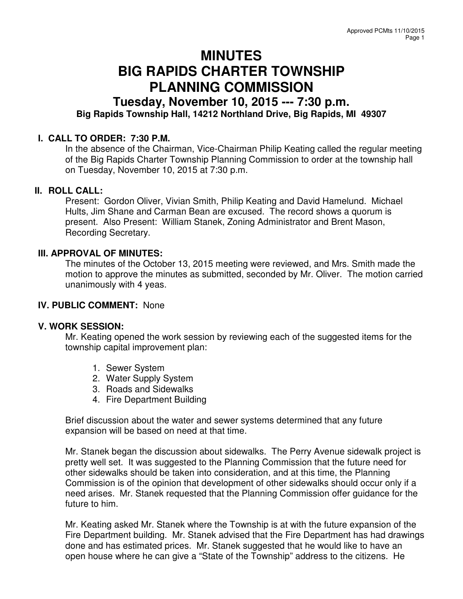# **MINUTES BIG RAPIDS CHARTER TOWNSHIP PLANNING COMMISSION**

# **Tuesday, November 10, 2015 --- 7:30 p.m. Big Rapids Township Hall, 14212 Northland Drive, Big Rapids, MI 49307**

# **I. CALL TO ORDER: 7:30 P.M.**

In the absence of the Chairman, Vice-Chairman Philip Keating called the regular meeting of the Big Rapids Charter Township Planning Commission to order at the township hall on Tuesday, November 10, 2015 at 7:30 p.m.

#### **II. ROLL CALL:**

Present: Gordon Oliver, Vivian Smith, Philip Keating and David Hamelund. Michael Hults, Jim Shane and Carman Bean are excused. The record shows a quorum is present. Also Present: William Stanek, Zoning Administrator and Brent Mason, Recording Secretary.

# **III. APPROVAL OF MINUTES:**

The minutes of the October 13, 2015 meeting were reviewed, and Mrs. Smith made the motion to approve the minutes as submitted, seconded by Mr. Oliver. The motion carried unanimously with 4 yeas.

# **IV. PUBLIC COMMENT:** None

#### **V. WORK SESSION:**

Mr. Keating opened the work session by reviewing each of the suggested items for the township capital improvement plan:

- 1. Sewer System
- 2. Water Supply System
- 3. Roads and Sidewalks
- 4. Fire Department Building

Brief discussion about the water and sewer systems determined that any future expansion will be based on need at that time.

Mr. Stanek began the discussion about sidewalks. The Perry Avenue sidewalk project is pretty well set. It was suggested to the Planning Commission that the future need for other sidewalks should be taken into consideration, and at this time, the Planning Commission is of the opinion that development of other sidewalks should occur only if a need arises. Mr. Stanek requested that the Planning Commission offer guidance for the future to him.

Mr. Keating asked Mr. Stanek where the Township is at with the future expansion of the Fire Department building. Mr. Stanek advised that the Fire Department has had drawings done and has estimated prices. Mr. Stanek suggested that he would like to have an open house where he can give a "State of the Township" address to the citizens. He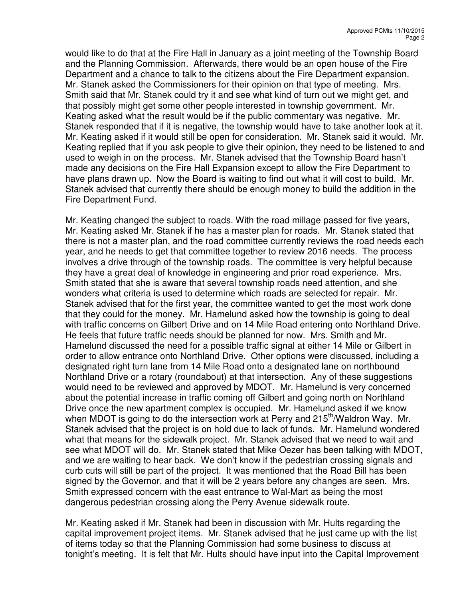would like to do that at the Fire Hall in January as a joint meeting of the Township Board and the Planning Commission. Afterwards, there would be an open house of the Fire Department and a chance to talk to the citizens about the Fire Department expansion. Mr. Stanek asked the Commissioners for their opinion on that type of meeting. Mrs. Smith said that Mr. Stanek could try it and see what kind of turn out we might get, and that possibly might get some other people interested in township government. Mr. Keating asked what the result would be if the public commentary was negative. Mr. Stanek responded that if it is negative, the township would have to take another look at it. Mr. Keating asked if it would still be open for consideration. Mr. Stanek said it would. Mr. Keating replied that if you ask people to give their opinion, they need to be listened to and used to weigh in on the process. Mr. Stanek advised that the Township Board hasn't made any decisions on the Fire Hall Expansion except to allow the Fire Department to have plans drawn up. Now the Board is waiting to find out what it will cost to build. Mr. Stanek advised that currently there should be enough money to build the addition in the Fire Department Fund.

Mr. Keating changed the subject to roads. With the road millage passed for five years, Mr. Keating asked Mr. Stanek if he has a master plan for roads. Mr. Stanek stated that there is not a master plan, and the road committee currently reviews the road needs each year, and he needs to get that committee together to review 2016 needs. The process involves a drive through of the township roads. The committee is very helpful because they have a great deal of knowledge in engineering and prior road experience. Mrs. Smith stated that she is aware that several township roads need attention, and she wonders what criteria is used to determine which roads are selected for repair. Mr. Stanek advised that for the first year, the committee wanted to get the most work done that they could for the money. Mr. Hamelund asked how the township is going to deal with traffic concerns on Gilbert Drive and on 14 Mile Road entering onto Northland Drive. He feels that future traffic needs should be planned for now. Mrs. Smith and Mr. Hamelund discussed the need for a possible traffic signal at either 14 Mile or Gilbert in order to allow entrance onto Northland Drive. Other options were discussed, including a designated right turn lane from 14 Mile Road onto a designated lane on northbound Northland Drive or a rotary (roundabout) at that intersection. Any of these suggestions would need to be reviewed and approved by MDOT. Mr. Hamelund is very concerned about the potential increase in traffic coming off Gilbert and going north on Northland Drive once the new apartment complex is occupied. Mr. Hamelund asked if we know when MDOT is going to do the intersection work at Perry and 215<sup>th</sup>/Waldron Way. Mr. Stanek advised that the project is on hold due to lack of funds. Mr. Hamelund wondered what that means for the sidewalk project. Mr. Stanek advised that we need to wait and see what MDOT will do. Mr. Stanek stated that Mike Oezer has been talking with MDOT, and we are waiting to hear back. We don't know if the pedestrian crossing signals and curb cuts will still be part of the project. It was mentioned that the Road Bill has been signed by the Governor, and that it will be 2 years before any changes are seen. Mrs. Smith expressed concern with the east entrance to Wal-Mart as being the most dangerous pedestrian crossing along the Perry Avenue sidewalk route.

Mr. Keating asked if Mr. Stanek had been in discussion with Mr. Hults regarding the capital improvement project items. Mr. Stanek advised that he just came up with the list of items today so that the Planning Commission had some business to discuss at tonight's meeting. It is felt that Mr. Hults should have input into the Capital Improvement